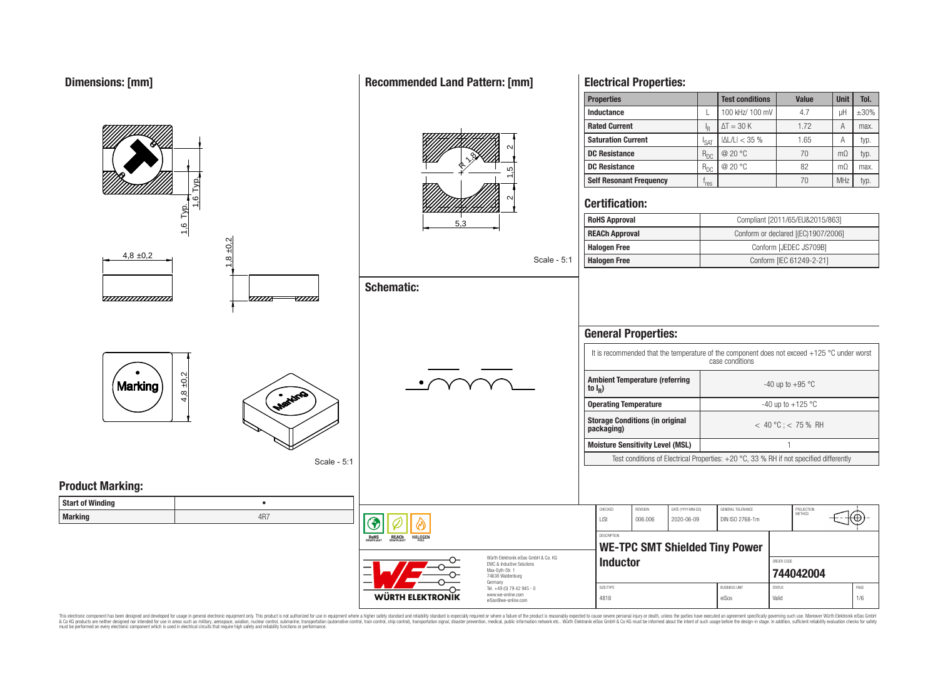#### **Properties Test conditions Value Unit Tol. Inductance L 100 kHz/ 100 mV 4.7 U uH**  $\pm$ **30% Rated Current**  $\Delta T = 30 \text{ K}$  1.72 A max. R **Saturation Current**  $\begin{array}{|c|c|c|c|c|c|}\n\hline\nI_{\text{SAT}} & |\Delta L/L| < 35 \% & 1.65 & A & \text{typ.} \\
\hline\nR_{\text{DC}} & @ 20 \text{ °C} & 70 & \text{m}\Omega & \text{typ.} \\
\hline\n\end{array}$  $\frac{2}{\sqrt{15}}$   $\frac{2}{\sqrt{2}}$ **DC Resistance** R<sub>DC</sub> @ 20 °C 70 mΩ typ. 19 R**DC Resistance** R<sub>DC</sub> @ 20 °C 82 mΩ max. **Self Resonant Frequency** | f<sub>res</sub> 1,6 Typ.  $r_{res}$   $70$  MHz typ. ี **Certification:** 1,6 Typ. **RoHS Approval Robert Compliant [2011/65/EU&2015/863]** 5,3 **REACh Approval** Conform or declared [(EC)1907/2006] 8 ±0.2 **Halogen Free Conform [JEDEC JS709B]**  $4.8 \pm 0.2$ Scale - 5:1 **Halogen Free** Conform [IEC 61249-2-21] **Schematic:** <del>www.www.</del> -*777777*  $\overline{u}\overline{u}$ **General Properties:** It is recommended that the temperature of the component does not exceed +125 °C under worst case conditions  $4,8 + 0,2$ **Ambient Temperature (referring** Marking  $-40$  up to  $+95$  °C **to I<sup>R</sup> ) Operating Temperature discriming Temperature**  $-40 \text{ up to } +125 \text{ °C}$ **Storage Conditions (in original packaging)** < 40 °C ; < 75 % RH **Moisture Sensitivity Level (MSL)** 1 Test conditions of Electrical Properties: +20 °C, 33 % RH if not specified differently Scale - 5:1 **Product Marking: Start of Winding** • CHECKED REVISION DATE (YYYY-MM-DD) GENERAL TOLERANCE PROJECTION<br>METHOD **Marking** 4R7 LiSt 006.006 2020-06-09 DIN ISO 2768-1m **DESCRIPTION RoHS** REACh **HALOGEI WE-TPC SMT Shielded Tiny Power** Würth Elektronik eiSos GmbH & Co. KG **Inductor Inductor Inductor** EMC & Inductive Solutions Max-Eyth-Str. 1 **[744042004](https://katalog.we-online.de/en/pbs/WE-TPC/744042004)** 74638 Waldenburg Germany Tel. +49 (0) 79 42 945 - 0 SIZE/TYPE BUSINESS UNIT STATUS PAGE www.we-online.com

This electronic component has been designed and developed for usage in general electronic equipment only. This product is not authorized for use in equipment where a higher safety standard and reliability standard is espec & Ook product a label and the membed of the seasuch as marked and as which such a membed and the such assume that income in the seasuch and the simulation and the such assume that include to the such a membed and the such

WÜRTH ELEKTRONIK

eiSos@we-online.com

## **Recommended Land Pattern: [mm]**

**Electrical Properties:**

4818 eiSos Valid 1/6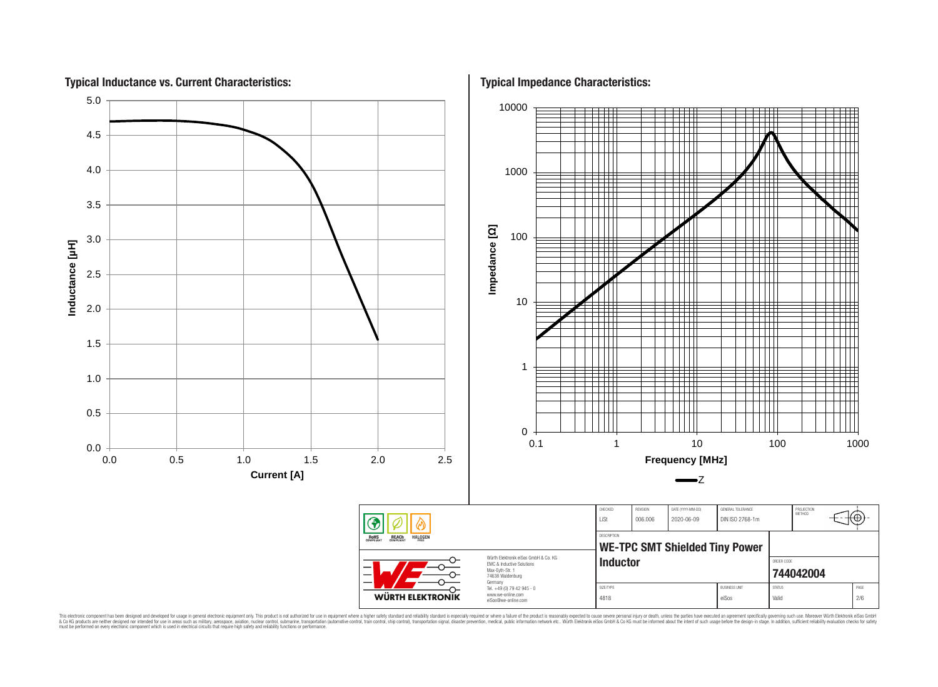

This electronic component has been designed and developed for usage in general electronic equipment only. This product is not authorized for subserved requipment where a higher selection equipment where a higher selection

## **Typical Inductance vs. Current Characteristics:**

**Typical Impedance Characteristics:**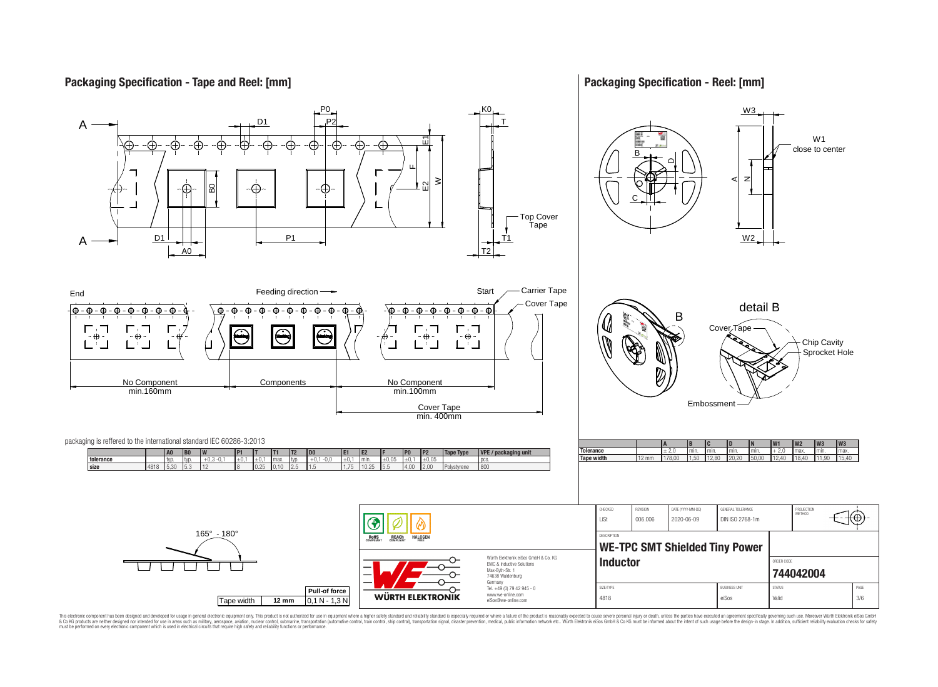## **Packaging Specification - Tape and Reel: [mm]**

## **Packaging Specification - Reel: [mm]**



This electronic component has been designed and developed for usage in general electronic equipment only. This product is not authorized for use in equipment where a higher safely standard and reliability standard si espec & Ook product a label and the membed of the seasuch as marked and as which such a membed and the such assume that income in the seasuch and the simulation and the such assume that include to the such a membed and the such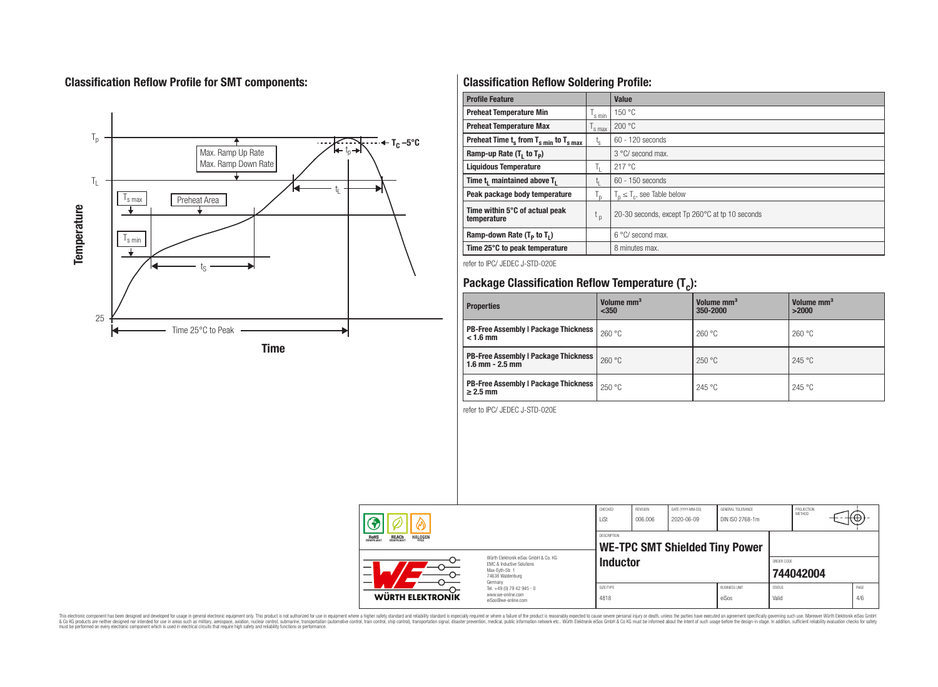## **Classification Reflow Profile for SMT components:**



## **Classification Reflow Soldering Profile:**

| <b>Profile Feature</b>                             |                    | <b>Value</b>                                    |
|----------------------------------------------------|--------------------|-------------------------------------------------|
| <b>Preheat Temperature Min</b>                     | 's min             | 150 °C                                          |
| <b>Preheat Temperature Max</b>                     | <sup>I</sup> s max | 200 °C                                          |
| Preheat Time $t_s$ from $T_{s,min}$ to $T_{s,max}$ | $t_{s}$            | $60 - 120$ seconds                              |
| Ramp-up Rate $(T_1$ to $T_p$ )                     |                    | $3^{\circ}$ C/ second max.                      |
| <b>Liquidous Temperature</b>                       | Ъ.                 | 217 °C                                          |
| Time t, maintained above T,                        | Ţ.                 | 60 - 150 seconds                                |
| Peak package body temperature                      | $T_{p}$            | $T_n \leq T_c$ , see Table below                |
| Time within 5°C of actual peak<br>temperature      | $t_{p}$            | 20-30 seconds, except Tp 260°C at tp 10 seconds |
| Ramp-down Rate $(T_P$ to $T_I$ )                   |                    | $6^{\circ}$ C/ second max.                      |
| Time 25°C to peak temperature                      |                    | 8 minutes max.                                  |

refer to IPC/ JEDEC J-STD-020E

# **Package Classification Reflow Temperature (T<sup>c</sup> ):**

| <b>Properties</b>                                                    | Volume mm <sup>3</sup><br>$350$ | Volume mm <sup>3</sup><br>350-2000 | Volume mm <sup>3</sup><br>>2000 |
|----------------------------------------------------------------------|---------------------------------|------------------------------------|---------------------------------|
| <b>PB-Free Assembly   Package Thickness</b><br>$< 1.6$ mm            | 260 °C                          | 260 °C                             | 260 °C                          |
| <b>PB-Free Assembly   Package Thickness  </b><br>$1.6$ mm $- 2.5$ mm | 260 °C                          | 250 °C                             | 245 °C                          |
| <b>PB-Free Assembly   Package Thickness  </b><br>$\geq$ 2.5 mm       | 250 °C                          | 245 °C                             | 245 °C                          |

refer to IPC/ JEDEC J-STD-020E

| 灬 |                                                                    |                                                                                                                                | CHECKED<br>LiSt                                             | <b>REVISION</b><br>006.006 | DATE (YYYY-MM-DD)<br>2020-06-09 | GENERAL TOLERANCE<br>DIN ISO 2768-1m |                        | PROJECTION<br><b>METHOD</b> | ιτΨ         |
|---|--------------------------------------------------------------------|--------------------------------------------------------------------------------------------------------------------------------|-------------------------------------------------------------|----------------------------|---------------------------------|--------------------------------------|------------------------|-----------------------------|-------------|
|   | <b>REACH</b><br>COMPLIANT<br><b>HALOGEN</b><br><b>ROHS</b><br>FRFF |                                                                                                                                | <b>DESCRIPTION</b><br><b>WE-TPC SMT Shielded Tiny Power</b> |                            |                                 |                                      |                        |                             |             |
|   | $\overline{\phantom{0}}$<br>$\overline{\phantom{0}}$               | Würth Flektronik eiSos GmbH & Co. KG<br><b>EMC &amp; Inductive Solutions</b><br>Max-Evth-Str. 1<br>74638 Waldenburg<br>Germany | <b>Inductor</b>                                             |                            |                                 |                                      | ORDER CODE             | 744042004                   |             |
|   | <b>WÜRTH ELEKTRONIK</b>                                            | Tel. +49 (0) 79 42 945 - 0<br>www.we-online.com<br>eiSos@we-online.com                                                         | SIZE/TYPE<br>4818                                           |                            |                                 | <b>BUSINESS UNIT</b><br>eiSos        | <b>STATUS</b><br>Valid |                             | PAGE<br>4/6 |

This electronic component has been designed and developed for usage in general electronic equipment only. This product is not authorized for subserved requipment where a higher selection equipment where a higher selection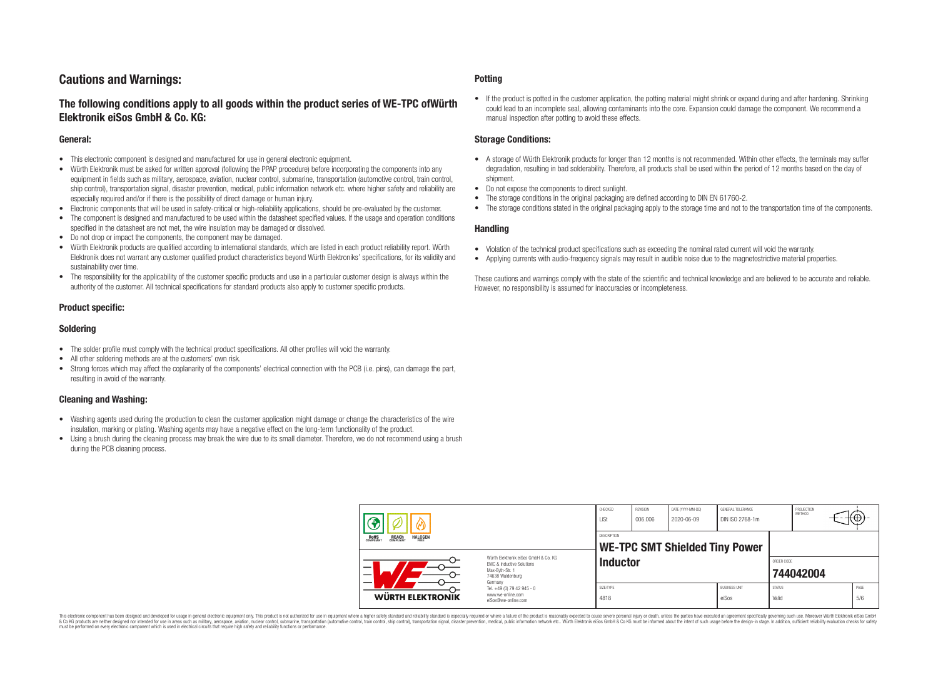## **Cautions and Warnings:**

## **The following conditions apply to all goods within the product series of WE-TPC ofWürth Elektronik eiSos GmbH & Co. KG:**

#### **General:**

- This electronic component is designed and manufactured for use in general electronic equipment.
- Würth Elektronik must be asked for written approval (following the PPAP procedure) before incorporating the components into any equipment in fields such as military, aerospace, aviation, nuclear control, submarine, transportation (automotive control, train control, ship control), transportation signal, disaster prevention, medical, public information network etc. where higher safety and reliability are especially required and/or if there is the possibility of direct damage or human injury.
- Electronic components that will be used in safety-critical or high-reliability applications, should be pre-evaluated by the customer.
- The component is designed and manufactured to be used within the datasheet specified values. If the usage and operation conditions specified in the datasheet are not met, the wire insulation may be damaged or dissolved.
- Do not drop or impact the components, the component may be damaged.
- Würth Elektronik products are qualified according to international standards, which are listed in each product reliability report. Würth Elektronik does not warrant any customer qualified product characteristics beyond Würth Elektroniks' specifications, for its validity and sustainability over time.
- The responsibility for the applicability of the customer specific products and use in a particular customer design is always within the authority of the customer. All technical specifications for standard products also apply to customer specific products.

### **Product specific:**

#### **Soldering**

- The solder profile must comply with the technical product specifications. All other profiles will void the warranty.
- All other soldering methods are at the customers' own risk.
- Strong forces which may affect the coplanarity of the components' electrical connection with the PCB (i.e. pins), can damage the part, resulting in avoid of the warranty.

### **Cleaning and Washing:**

- Washing agents used during the production to clean the customer application might damage or change the characteristics of the wire insulation, marking or plating. Washing agents may have a negative effect on the long-term functionality of the product.
- Using a brush during the cleaning process may break the wire due to its small diameter. Therefore, we do not recommend using a brush during the PCB cleaning process.

#### **Potting**

• If the product is potted in the customer application, the potting material might shrink or expand during and after hardening. Shrinking could lead to an incomplete seal, allowing contaminants into the core. Expansion could damage the component. We recommend a manual inspection after potting to avoid these effects.

#### **Storage Conditions:**

- A storage of Würth Elektronik products for longer than 12 months is not recommended. Within other effects, the terminals may suffer degradation, resulting in bad solderability. Therefore, all products shall be used within the period of 12 months based on the day of shipment.
- Do not expose the components to direct sunlight.
- The storage conditions in the original packaging are defined according to DIN EN 61760-2.
- The storage conditions stated in the original packaging apply to the storage time and not to the transportation time of the components.

#### **Handling**

- Violation of the technical product specifications such as exceeding the nominal rated current will void the warranty.
- Applying currents with audio-frequency signals may result in audible noise due to the magnetostrictive material properties.

These cautions and warnings comply with the state of the scientific and technical knowledge and are believed to be accurate and reliable. However, no responsibility is assumed for inaccuracies or incompleteness.

| B                                                                |                                                                                                                                                                                               | CHECKED<br>LiSt                                             | REVISION<br>006.006 | DATE (YYYY-MM-DD)<br>2020-06-09 | GENERAL TOLERANCE<br>DIN ISO 2768-1m |                        | PROJECTION<br>METHOD | €Θ          |
|------------------------------------------------------------------|-----------------------------------------------------------------------------------------------------------------------------------------------------------------------------------------------|-------------------------------------------------------------|---------------------|---------------------------------|--------------------------------------|------------------------|----------------------|-------------|
| <b>HALOGEN</b><br><b>REACH</b><br>COMPLIANT<br>ROHS<br>COMPLIANT |                                                                                                                                                                                               | <b>DESCRIPTION</b><br><b>WE-TPC SMT Shielded Tiny Power</b> |                     |                                 |                                      |                        |                      |             |
| –<br>$\overline{\phantom{0}}$                                    | Würth Elektronik eiSos GmbH & Co. KG<br>EMC & Inductive Solutions<br>Max-Eyth-Str. 1<br>74638 Waldenburg<br>Germany<br>Tel. +49 (0) 79 42 945 - 0<br>www.we-online.com<br>eiSos@we-online.com | <b>Inductor</b>                                             |                     |                                 |                                      | ORDER CODE             | 744042004            |             |
| WÜRTH ELEKTRONIK                                                 |                                                                                                                                                                                               | SIZE/TYPE<br>4818                                           |                     |                                 | <b>BUSINESS UNIT</b><br>eiSos        | <b>STATUS</b><br>Valid |                      | PAGE<br>5/6 |

This electronic component has been designed and developed for usage in general electronic equipment only. This product is not authorized for use in equipment where a higher safety standard and reliability standard si espec & Ook product a label and the membed of the seasuch as marked and as which such a membed and the such assume that income in the seasuch and the simulation and the such assume that include to the such a membed and the such